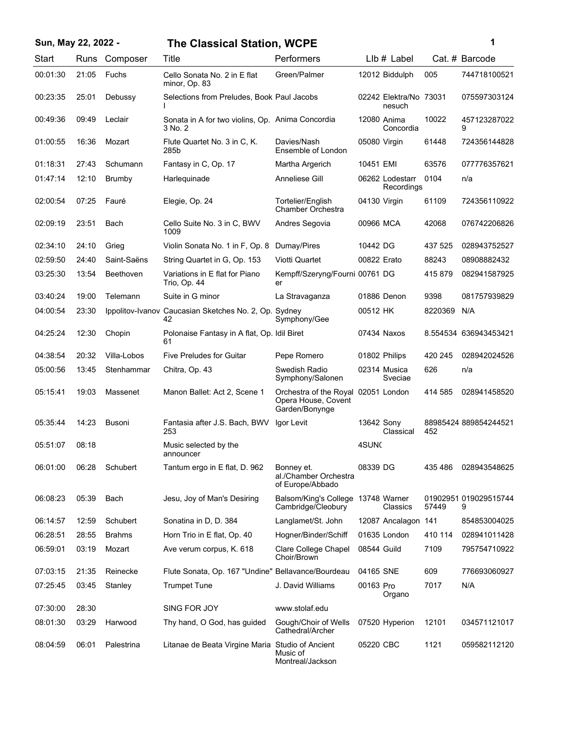| Sun, May 22, 2022 - |       |               | <b>The Classical Station, WCPE</b>                          |                                                                 |                   |                                  |         | 1                          |
|---------------------|-------|---------------|-------------------------------------------------------------|-----------------------------------------------------------------|-------------------|----------------------------------|---------|----------------------------|
| Start               | Runs  | Composer      | Title                                                       | Performers                                                      |                   | $Llb#$ Label                     |         | Cat. # Barcode             |
| 00:01:30            | 21:05 | Fuchs         | Cello Sonata No. 2 in E flat<br>minor, Op. 83               | Green/Palmer                                                    |                   | 12012 Biddulph                   | 005     | 744718100521               |
| 00:23:35            | 25:01 | Debussy       | Selections from Preludes, Book Paul Jacobs                  |                                                                 |                   | 02242 Elektra/No 73031<br>nesuch |         | 075597303124               |
| 00:49:36            | 09:49 | Leclair       | Sonata in A for two violins, Op. Anima Concordia<br>3 No. 2 |                                                                 | 12080 Anima       | Concordia                        | 10022   | 457123287022<br>9          |
| 01:00:55            | 16:36 | Mozart        | Flute Quartet No. 3 in C, K.<br>285b                        | Davies/Nash<br>Ensemble of London                               | 05080 Virgin      |                                  | 61448   | 724356144828               |
| 01:18:31            | 27:43 | Schumann      | Fantasy in C, Op. 17                                        | Martha Argerich                                                 | 10451 EMI         |                                  | 63576   | 077776357621               |
| 01:47:14            | 12:10 | <b>Brumby</b> | Harlequinade                                                | Anneliese Gill                                                  |                   | 06262 Lodestarr<br>Recordings    | 0104    | n/a                        |
| 02:00:54            | 07:25 | Fauré         | Elegie, Op. 24                                              | Tortelier/English<br>Chamber Orchestra                          | 04130 Virgin      |                                  | 61109   | 724356110922               |
| 02:09:19            | 23:51 | Bach          | Cello Suite No. 3 in C, BWV<br>1009                         | Andres Segovia                                                  | 00966 MCA         |                                  | 42068   | 076742206826               |
| 02:34:10            | 24:10 | Grieg         | Violin Sonata No. 1 in F, Op. 8                             | Dumay/Pires                                                     | 10442 DG          |                                  | 437 525 | 028943752527               |
| 02:59:50            | 24:40 | Saint-Saëns   | String Quartet in G, Op. 153                                | Viotti Quartet                                                  | 00822 Erato       |                                  | 88243   | 08908882432                |
| 03:25:30            | 13:54 | Beethoven     | Variations in E flat for Piano<br>Trio, Op. 44              | Kempff/Szeryng/Fourni 00761 DG<br>er                            |                   |                                  | 415879  | 082941587925               |
| 03:40:24            | 19:00 | Telemann      | Suite in G minor                                            | La Stravaganza                                                  | 01886 Denon       |                                  | 9398    | 081757939829               |
| 04:00:54            | 23:30 |               | Ippolitov-Ivanov Caucasian Sketches No. 2, Op. Sydney<br>42 | Symphony/Gee                                                    | 00512 HK          |                                  | 8220369 | N/A                        |
| 04:25:24            | 12:30 | Chopin        | Polonaise Fantasy in A flat, Op. Idil Biret<br>61           |                                                                 | 07434 Naxos       |                                  |         | 8.554534 636943453421      |
| 04:38:54            | 20:32 | Villa-Lobos   | <b>Five Preludes for Guitar</b>                             | Pepe Romero                                                     | 01802 Philips     |                                  | 420 245 | 028942024526               |
| 05:00:56            | 13:45 | Stenhammar    | Chitra, Op. 43                                              | Swedish Radio<br>Symphony/Salonen                               | 02314 Musica      | Sveciae                          | 626     | n/a                        |
| 05:15:41            | 19:03 | Massenet      | Manon Ballet: Act 2, Scene 1                                | Orchestra of the Royal<br>Opera House, Covent<br>Garden/Bonynge | 02051 London      |                                  | 414 585 | 028941458520               |
| 05:35:44            | 14:23 | Busoni        | Fantasia after J.S. Bach, BWV<br>253                        | Igor Levit                                                      | 13642 Sony        | Classical                        | 452     | 88985424 889854244521      |
| 05:51:07            | 08:18 |               | Music selected by the<br>announcer                          |                                                                 | 4SUN <sub>C</sub> |                                  |         |                            |
| 06:01:00            | 06:28 | Schubert      | Tantum ergo in E flat, D. 962                               | Bonney et.<br>al./Chamber Orchestra<br>of Europe/Abbado         | 08339 DG          |                                  | 435 486 | 028943548625               |
| 06:08:23            | 05:39 | Bach          | Jesu, Joy of Man's Desiring                                 | Balsom/King's College 13748 Warner<br>Cambridge/Cleobury        |                   | Classics                         | 57449   | 01902951 019029515744<br>9 |
| 06:14:57            | 12:59 | Schubert      | Sonatina in D, D. 384                                       | Langlamet/St. John                                              |                   | 12087 Ancalagon 141              |         | 854853004025               |
| 06:28:51            | 28:55 | <b>Brahms</b> | Horn Trio in E flat, Op. 40                                 | Hogner/Binder/Schiff                                            |                   | 01635 London                     | 410 114 | 028941011428               |
| 06:59:01            | 03:19 | Mozart        | Ave verum corpus, K. 618                                    | Clare College Chapel<br>Choir/Brown                             | 08544 Guild       |                                  | 7109    | 795754710922               |
| 07:03:15            | 21:35 | Reinecke      | Flute Sonata, Op. 167 "Undine" Bellavance/Bourdeau          |                                                                 | 04165 SNE         |                                  | 609     | 776693060927               |
| 07:25:45            | 03:45 | Stanley       | <b>Trumpet Tune</b>                                         | J. David Williams                                               | 00163 Pro         | Organo                           | 7017    | N/A                        |
| 07:30:00            | 28:30 |               | SING FOR JOY                                                | www.stolaf.edu                                                  |                   |                                  |         |                            |
| 08:01:30            | 03:29 | Harwood       | Thy hand, O God, has guided                                 | Gough/Choir of Wells<br>Cathedral/Archer                        |                   | 07520 Hyperion                   | 12101   | 034571121017               |
| 08:04:59            | 06:01 | Palestrina    | Litanae de Beata Virgine Maria                              | Studio of Ancient<br>Music of<br>Montreal/Jackson               | 05220 CBC         |                                  | 1121    | 059582112120               |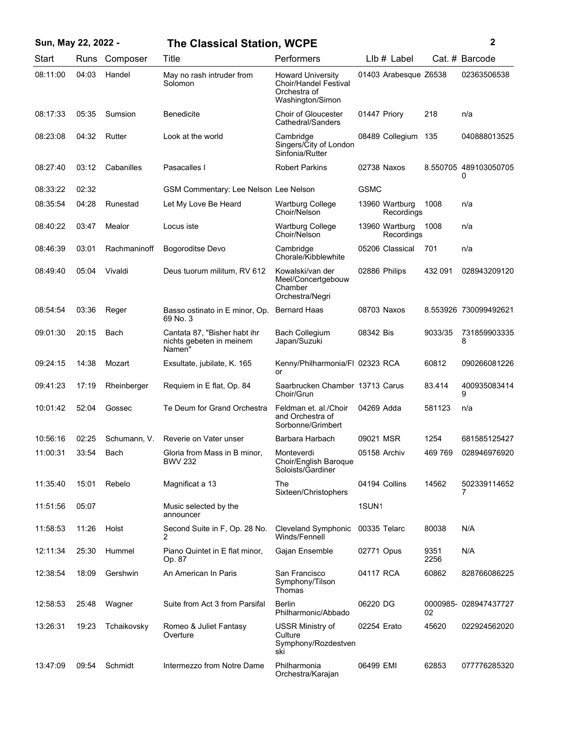| Sun, May 22, 2022 - |       |              | <b>The Classical Station, WCPE</b>                                 |                                                                                              |                   |                              |              | 2                          |
|---------------------|-------|--------------|--------------------------------------------------------------------|----------------------------------------------------------------------------------------------|-------------------|------------------------------|--------------|----------------------------|
| Start               | Runs  | Composer     | Title                                                              | Performers                                                                                   |                   | $Llb \#$ Label               |              | Cat. # Barcode             |
| 08:11:00            | 04:03 | Handel       | May no rash intruder from<br>Solomon                               | <b>Howard University</b><br><b>Choir/Handel Festival</b><br>Orchestra of<br>Washington/Simon |                   | 01403 Arabesque Z6538        |              | 02363506538                |
| 08:17:33            | 05:35 | Sumsion      | <b>Benedicite</b>                                                  | <b>Choir of Gloucester</b><br>Cathedral/Sanders                                              | 01447 Priory      |                              | 218          | n/a                        |
| 08:23:08            | 04:32 | Rutter       | Look at the world                                                  | Cambridge<br>Singers/City of London<br>Sinfonia/Rutter                                       |                   | 08489 Collegium              | 135          | 040888013525               |
| 08:27:40            | 03:12 | Cabanilles   | Pasacalles I                                                       | <b>Robert Parkins</b>                                                                        |                   | 02738 Naxos                  |              | 8.550705 489103050705<br>0 |
| 08:33:22            | 02:32 |              | GSM Commentary: Lee Nelson Lee Nelson                              |                                                                                              | <b>GSMC</b>       |                              |              |                            |
| 08:35:54            | 04:28 | Runestad     | Let My Love Be Heard                                               | <b>Wartburg College</b><br>Choir/Nelson                                                      |                   | 13960 Wartburg<br>Recordings | 1008         | n/a                        |
| 08:40:22            | 03:47 | Mealor       | Locus iste                                                         | <b>Wartburg College</b><br>Choir/Nelson                                                      |                   | 13960 Wartburg<br>Recordings | 1008         | n/a                        |
| 08:46:39            | 03:01 | Rachmaninoff | Bogoroditse Devo                                                   | Cambridge<br>Chorale/Kibblewhite                                                             |                   | 05206 Classical              | 701          | n/a                        |
| 08:49:40            | 05:04 | Vivaldi      | Deus tuorum militum, RV 612                                        | Kowalski/van der<br>Meel/Concertgebouw<br>Chamber<br>Orchestra/Negri                         |                   | 02886 Philips                | 432 091      | 028943209120               |
| 08:54:54            | 03:36 | Reger        | Basso ostinato in E minor, Op.<br>69 No. 3                         | <b>Bernard Haas</b>                                                                          |                   | 08703 Naxos                  |              | 8.553926 730099492621      |
| 09:01:30            | 20:15 | Bach         | Cantata 87, "Bisher habt ihr<br>nichts gebeten in meinem<br>Namen" | <b>Bach Collegium</b><br>Japan/Suzuki                                                        | 08342 Bis         |                              | 9033/35      | 731859903335<br>8          |
| 09:24:15            | 14:38 | Mozart       | Exsultate, jubilate, K. 165                                        | Kenny/Philharmonia/FI 02323 RCA<br>or                                                        |                   |                              | 60812        | 090266081226               |
| 09:41:23            | 17:19 | Rheinberger  | Requiem in E flat, Op. 84                                          | Saarbrucken Chamber 13713 Carus<br>Choir/Grun                                                |                   |                              | 83.414       | 400935083414<br>9          |
| 10:01:42            | 52:04 | Gossec       | Te Deum for Grand Orchestra                                        | Feldman et. al./Choir<br>and Orchestra of<br>Sorbonne/Grimbert                               | 04269 Adda        |                              | 581123       | n/a                        |
| 10:56:16            | 02:25 | Schumann, V. | Reverie on Vater unser                                             | Barbara Harbach                                                                              | 09021 MSR         |                              | 1254         | 681585125427               |
| 11:00:31            | 33:54 | Bach         | Gloria from Mass in B minor,<br><b>BWV 232</b>                     | Monteverdi<br>Choir/English Baroque<br>Soloists/Gardiner                                     |                   | 05158 Archiv                 | 469 769      | 028946976920               |
| 11:35:40            | 15:01 | Rebelo       | Magnificat a 13                                                    | The<br>Sixteen/Christophers                                                                  |                   | 04194 Collins                | 14562        | 502339114652<br>7          |
| 11:51:56            | 05:07 |              | Music selected by the<br>announcer                                 |                                                                                              | 1SUN <sub>1</sub> |                              |              |                            |
| 11:58:53            | 11:26 | Holst        | Second Suite in F, Op. 28 No.<br>2                                 | Cleveland Symphonic<br>Winds/Fennell                                                         | 00335 Telarc      |                              | 80038        | N/A                        |
| 12:11:34            | 25:30 | Hummel       | Piano Quintet in E flat minor,<br>Op. 87                           | Gajan Ensemble                                                                               | 02771 Opus        |                              | 9351<br>2256 | N/A                        |
| 12:38:54            | 18:09 | Gershwin     | An American In Paris                                               | San Francisco<br>Symphony/Tilson<br>Thomas                                                   | 04117 RCA         |                              | 60862        | 828766086225               |
| 12:58:53            | 25:48 | Wagner       | Suite from Act 3 from Parsifal                                     | <b>Berlin</b><br>Philharmonic/Abbado                                                         | 06220 DG          |                              | 02           | 0000985-028947437727       |
| 13:26:31            | 19:23 | Tchaikovsky  | Romeo & Juliet Fantasy<br>Overture                                 | <b>USSR Ministry of</b><br>Culture<br>Symphony/Rozdestven<br>ski                             | 02254 Erato       |                              | 45620        | 022924562020               |
| 13:47:09            | 09:54 | Schmidt      | Intermezzo from Notre Dame                                         | Philharmonia<br>Orchestra/Karajan                                                            | 06499 EMI         |                              | 62853        | 077776285320               |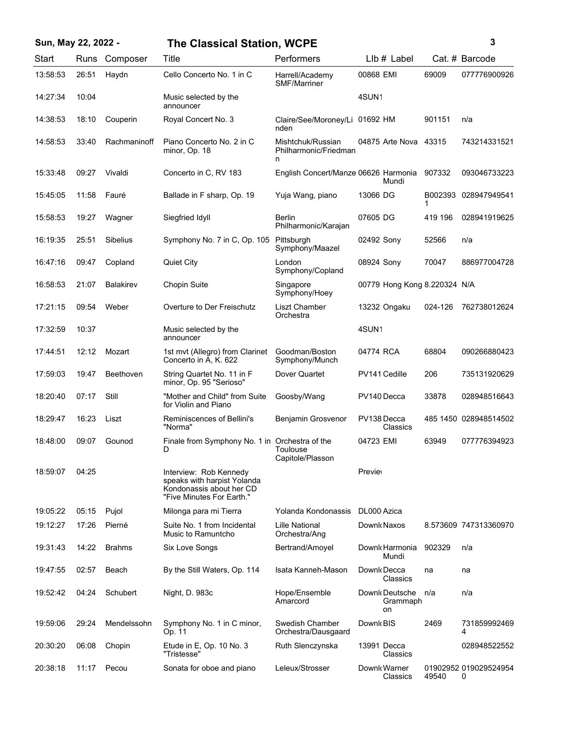## **Sun, May 22, 2022 - 3 The Classical Station, WCPE**

| ٦ |  |             |
|---|--|-------------|
|   |  |             |
|   |  |             |
|   |  | ٦<br>I<br>I |

| <b>Start</b> | Runs  | Composer         | <b>Title</b>                                                                                                   | Performers                                      | LIb # Label                      |              | Cat. # Barcode             |
|--------------|-------|------------------|----------------------------------------------------------------------------------------------------------------|-------------------------------------------------|----------------------------------|--------------|----------------------------|
| 13:58:53     | 26:51 | Haydn            | Cello Concerto No. 1 in C                                                                                      | Harrell/Academy<br><b>SMF/Marriner</b>          | 00868 EMI                        | 69009        | 077776900926               |
| 14:27:34     | 10:04 |                  | Music selected by the<br>announcer                                                                             |                                                 | 4SUN1                            |              |                            |
| 14:38:53     | 18:10 | Couperin         | Royal Concert No. 3                                                                                            | Claire/See/Moroney/Li 01692 HM<br>nden          |                                  | 901151       | n/a                        |
| 14:58:53     | 33:40 | Rachmaninoff     | Piano Concerto No. 2 in C<br>minor, Op. 18                                                                     | Mishtchuk/Russian<br>Philharmonic/Friedman<br>n | 04875 Arte Nova                  | 43315        | 743214331521               |
| 15:33:48     | 09:27 | Vivaldi          | Concerto in C, RV 183                                                                                          | English Concert/Manze 06626 Harmonia            | Mundi                            | 907332       | 093046733223               |
| 15:45:05     | 11:58 | Fauré            | Ballade in F sharp, Op. 19                                                                                     | Yuja Wang, piano                                | 13066 DG                         | B002393<br>1 | 028947949541               |
| 15:58:53     | 19:27 | Wagner           | Siegfried Idyll                                                                                                | <b>Berlin</b><br>Philharmonic/Karajan           | 07605 DG                         | 419 196      | 028941919625               |
| 16:19:35     | 25:51 | <b>Sibelius</b>  | Symphony No. 7 in C, Op. 105                                                                                   | Pittsburgh<br>Symphony/Maazel                   | 02492 Sony                       | 52566        | n/a                        |
| 16:47:16     | 09:47 | Copland          | <b>Quiet City</b>                                                                                              | London<br>Symphony/Copland                      | 08924 Sony                       | 70047        | 886977004728               |
| 16:58:53     | 21:07 | <b>Balakirev</b> | <b>Chopin Suite</b>                                                                                            | Singapore<br>Symphony/Hoey                      | 00779 Hong Kong 8.220324 N/A     |              |                            |
| 17:21:15     | 09:54 | Weber            | Overture to Der Freischutz                                                                                     | Liszt Chamber<br>Orchestra                      | 13232 Ongaku                     | 024-126      | 762738012624               |
| 17:32:59     | 10:37 |                  | Music selected by the<br>announcer                                                                             |                                                 | 4SUN1                            |              |                            |
| 17:44:51     | 12:12 | Mozart           | 1st mvt (Allegro) from Clarinet<br>Concerto in A, K. 622                                                       | Goodman/Boston<br>Symphony/Munch                | 04774 RCA                        | 68804        | 090266880423               |
| 17:59:03     | 19:47 | Beethoven        | String Quartet No. 11 in F<br>minor, Op. 95 "Serioso"                                                          | Dover Quartet                                   | PV141 Cedille                    | 206          | 735131920629               |
| 18:20:40     | 07:17 | Still            | "Mother and Child" from Suite<br>for Violin and Piano                                                          | Goosby/Wang                                     | PV140 Decca                      | 33878        | 028948516643               |
| 18:29:47     | 16:23 | Liszt            | Reminiscences of Bellini's<br>"Norma"                                                                          | Benjamin Grosvenor                              | PV138 Decca<br>Classics          |              | 485 1450 028948514502      |
| 18:48:00     | 09:07 | Gounod           | Finale from Symphony No. 1 in Orchestra of the<br>D                                                            | Toulouse<br>Capitole/Plasson                    | 04723 EMI                        | 63949        | 077776394923               |
| 18:59:07     | 04:25 |                  | Interview: Rob Kennedy<br>speaks with harpist Yolanda<br>Kondonassis about her CD<br>"Five Minutes For Earth." |                                                 | Preview                          |              |                            |
| 19:05:22     | 05:15 | Pujol            | Milonga para mi Tierra                                                                                         | Yolanda Kondonassis                             | DL000 Azica                      |              |                            |
| 19:12:27     | 17:26 | Pierné           | Suite No. 1 from Incidental<br>Music to Ramuntcho                                                              | <b>Lille National</b><br>Orchestra/Ang          | Downk Naxos                      |              | 8.573609 747313360970      |
| 19:31:43     | 14:22 | <b>Brahms</b>    | <b>Six Love Songs</b>                                                                                          | Bertrand/Amoyel                                 | Downk Harmonia<br>Mundi          | 902329       | n/a                        |
| 19:47:55     | 02:57 | Beach            | By the Still Waters, Op. 114                                                                                   | Isata Kanneh-Mason                              | Downk Decca<br>Classics          | na           | na                         |
| 19:52:42     | 04:24 | Schubert         | Night, D. 983c                                                                                                 | Hope/Ensemble<br>Amarcord                       | Downk Deutsche<br>Grammaph<br>on | n/a          | n/a                        |
| 19:59:06     | 29:24 | Mendelssohn      | Symphony No. 1 in C minor,<br>Op. 11                                                                           | Swedish Chamber<br>Orchestra/Dausgaard          | Downk BIS                        | 2469         | 731859992469<br>4          |
| 20:30:20     | 06:08 | Chopin           | Etude in E, Op. 10 No. 3<br>"Tristesse"                                                                        | Ruth Slenczynska                                | 13991 Decca<br>Classics          |              | 028948522552               |
| 20:38:18     | 11:17 | Pecou            | Sonata for oboe and piano                                                                                      | Leleux/Strosser                                 | Downk Warner<br>Classics         | 49540        | 01902952 019029524954<br>0 |